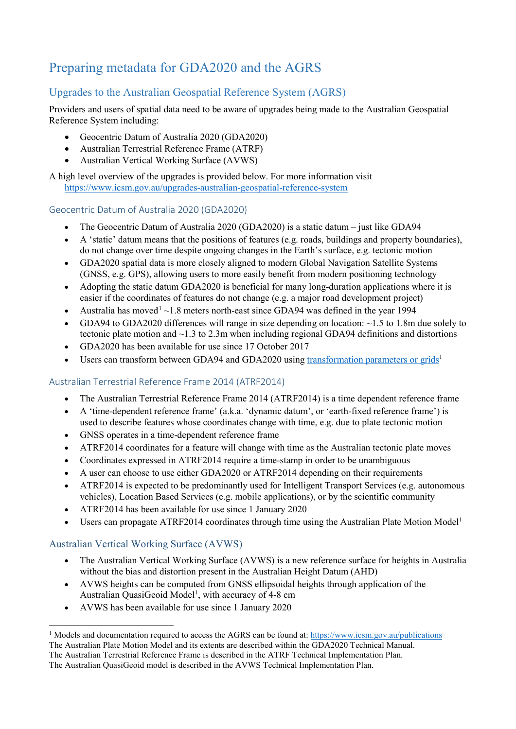# Preparing metadata for GDA2020 and the AGRS

# Upgrades to the Australian Geospatial Reference System (AGRS)

Providers and users of spatial data need to be aware of upgrades being made to the Australian Geospatial Reference System including:

- Geocentric Datum of Australia 2020 (GDA2020)
- Australian Terrestrial Reference Frame (ATRF)
- Australian Vertical Working Surface (AVWS)

A high level overview of the upgrades is provided below. For more information visit <https://www.icsm.gov.au/upgrades-australian-geospatial-reference-system>

#### Geocentric Datum of Australia 2020 (GDA2020)

- The Geocentric Datum of Australia 2020 (GDA2020) is a static datum just like GDA94
- A 'static' datum means that the positions of features (e.g. roads, buildings and property boundaries), do not change over time despite ongoing changes in the Earth's surface, e.g. tectonic motion
- GDA2020 spatial data is more closely aligned to modern Global Navigation Satellite Systems (GNSS, e.g. GPS), allowing users to more easily benefit from modern positioning technology
- Adopting the static datum GDA2020 is beneficial for many long-duration applications where it is easier if the coordinates of features do not change (e.g. a major road development project)
- Australia has moved<sup>[1](#page-0-0)</sup> $\sim$ 1.8 meters north-east since GDA94 was defined in the year 1994
- GDA94 to GDA2020 differences will range in size depending on location:  $\sim$ 1.5 to 1.8m due solely to tectonic plate motion and ~1.3 to 2.3m when including regional GDA94 definitions and distortions
- GDA2020 has been available for use since 17 October 2017
- Users can transform between GDA94 and GDA2020 using transformation parameters or grids<sup>1</sup>

#### Australian Terrestrial Reference Frame 2014 (ATRF2014)

- The Australian Terrestrial Reference Frame 2014 (ATRF2014) is a time dependent reference frame
- A 'time-dependent reference frame' (a.k.a. 'dynamic datum', or 'earth-fixed reference frame') is used to describe features whose coordinates change with time, e.g. due to plate tectonic motion
- GNSS operates in a time-dependent reference frame
- ATRF2014 coordinates for a feature will change with time as the Australian tectonic plate moves
- Coordinates expressed in ATRF2014 require a time-stamp in order to be unambiguous
- A user can choose to use either GDA2020 or ATRF2014 depending on their requirements
- ATRF2014 is expected to be predominantly used for Intelligent Transport Services (e.g. autonomous vehicles), Location Based Services (e.g. mobile applications), or by the scientific community
- ATRF2014 has been available for use since 1 January 2020
- Users can propagate ATRF2014 coordinates through time using the Australian Plate Motion Model<sup>1</sup>

#### Australian Vertical Working Surface (AVWS)

- The Australian Vertical Working Surface (AVWS) is a new reference surface for heights in Australia without the bias and distortion present in the Australian Height Datum (AHD)
- AVWS heights can be computed from GNSS ellipsoidal heights through application of the Australian QuasiGeoid Model<sup>1</sup>, with accuracy of 4-8 cm
- AVWS has been available for use since 1 January 2020

<span id="page-0-0"></span><sup>&</sup>lt;sup>1</sup> Models and documentation required to access the AGRS can be found at:<https://www.icsm.gov.au/publications> The Australian Plate Motion Model and its extents are described within the GDA2020 Technical Manual. The Australian Terrestrial Reference Frame is described in the ATRF Technical Implementation Plan.

The Australian QuasiGeoid model is described in the AVWS Technical Implementation Plan.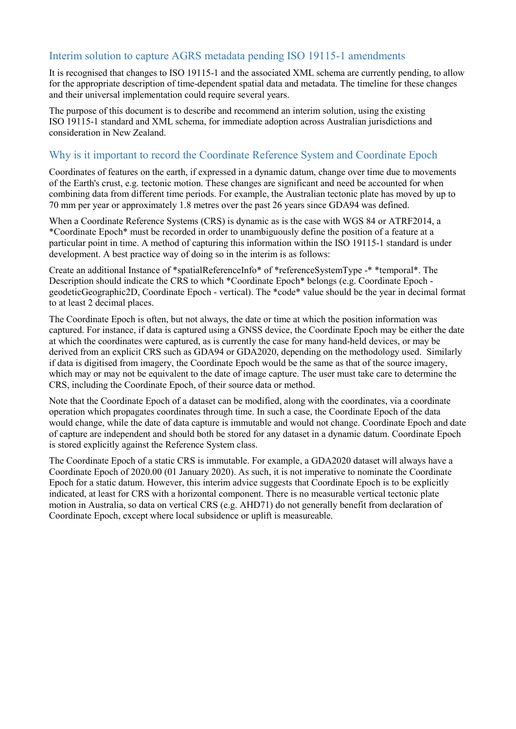#### Interim solution to capture AGRS metadata pending ISO 19115-1 amendments

It is recognised that changes to ISO 19115-1 and the associated XML schema are currently pending, to allow for the appropriate description of time-dependent spatial data and metadata. The timeline for these changes and their universal implementation could require several years.

The purpose of this document is to describe and recommend an interim solution, using the existing ISO 19115-1 standard and XML schema, for immediate adoption across Australian jurisdictions and consideration in New Zealand.

# Why is it important to record the Coordinate Reference System and Coordinate Epoch

Coordinates of features on the earth, if expressed in a dynamic datum, change over time due to movements of the Earth's crust, e.g. tectonic motion. These changes are significant and need be accounted for when combining data from different time periods. For example, the Australian tectonic plate has moved by up to 70 mm per year or approximately 1.8 metres over the past 26 years since GDA94 was defined.

When a Coordinate Reference Systems (CRS) is dynamic as is the case with WGS 84 or ATRF2014, a \*Coordinate Epoch\* must be recorded in order to unambiguously define the position of a feature at a particular point in time. A method of capturing this information within the ISO 19115-1 standard is under development. A best practice way of doing so in the interim is as follows:

Create an additional Instance of \*spatialReferenceInfo\* of \*referenceSystemType -\* \*temporal\*. The Description should indicate the CRS to which \*Coordinate Epoch\* belongs (e.g. Coordinate Epoch geodeticGeographic2D, Coordinate Epoch - vertical). The \*code\* value should be the year in decimal format to at least 2 decimal places.

The Coordinate Epoch is often, but not always, the date or time at which the position information was captured. For instance, if data is captured using a GNSS device, the Coordinate Epoch may be either the date at which the coordinates were captured, as is currently the case for many hand-held devices, or may be derived from an explicit CRS such as GDA94 or GDA2020, depending on the methodology used. Similarly if data is digitised from imagery, the Coordinate Epoch would be the same as that of the source imagery, which may or may not be equivalent to the date of image capture. The user must take care to determine the CRS, including the Coordinate Epoch, of their source data or method.

Note that the Coordinate Epoch of a dataset can be modified, along with the coordinates, via a coordinate operation which propagates coordinates through time. In such a case, the Coordinate Epoch of the data would change, while the date of data capture is immutable and would not change. Coordinate Epoch and date of capture are independent and should both be stored for any dataset in a dynamic datum. Coordinate Epoch is stored explicitly against the Reference System class.

The Coordinate Epoch of a static CRS is immutable. For example, a GDA2020 dataset will always have a Coordinate Epoch of 2020.00 (01 January 2020). As such, it is not imperative to nominate the Coordinate Epoch for a static datum. However, this interim advice suggests that Coordinate Epoch is to be explicitly indicated, at least for CRS with a horizontal component. There is no measurable vertical tectonic plate motion in Australia, so data on vertical CRS (e.g. AHD71) do not generally benefit from declaration of Coordinate Epoch, except where local subsidence or uplift is measureable.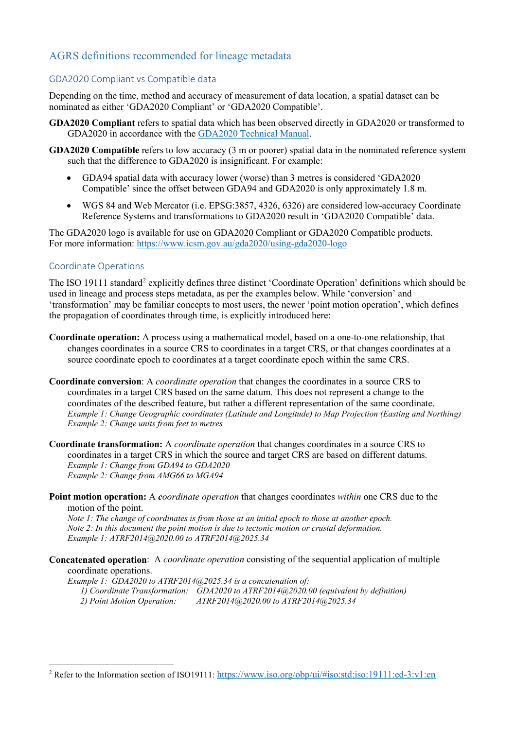# AGRS definitions recommended for lineage metadata

#### GDA2020 Compliant vs Compatible data

Depending on the time, method and accuracy of measurement of data location, a spatial dataset can be nominated as either 'GDA2020 Compliant' or 'GDA2020 Compatible'.

- **GDA2020 Compliant** refers to spatial data which has been observed directly in GDA2020 or transformed to GDA2020 in accordance with the [GDA2020 Technical Manual.](https://www.icsm.gov.au/gda2020-and-gda94-technical-manuals)
- **GDA2020 Compatible** refers to low accuracy (3 m or poorer) spatial data in the nominated reference system such that the difference to GDA2020 is insignificant. For example:
	- GDA94 spatial data with accuracy lower (worse) than 3 metres is considered 'GDA2020 Compatible' since the offset between GDA94 and GDA2020 is only approximately 1.8 m.
	- WGS 84 and Web Mercator (i.e. EPSG:3857, 4326, 6326) are considered low-accuracy Coordinate Reference Systems and transformations to GDA2020 result in 'GDA2020 Compatible' data.

The GDA2020 logo is available for use on GDA2020 Compliant or GDA2020 Compatible products. For more information:<https://www.icsm.gov.au/gda2020/using-gda2020-logo>

#### Coordinate Operations

The ISO 19111 standard<sup>[2](#page-2-0)</sup> explicitly defines three distinct 'Coordinate Operation' definitions which should be used in lineage and process steps metadata, as per the examples below. While 'conversion' and 'transformation' may be familiar concepts to most users, the newer 'point motion operation', which defines the propagation of coordinates through time, is explicitly introduced here:

- **Coordinate operation:** A process using a mathematical model, based on a one-to-one relationship, that changes coordinates in a source CRS to coordinates in a target CRS, or that changes coordinates at a source coordinate epoch to coordinates at a target coordinate epoch within the same CRS.
- **Coordinate conversion**: A *coordinate operation* that changes the coordinates in a source CRS to coordinates in a target CRS based on the same datum. This does not represent a change to the coordinates of the described feature, but rather a different representation of the same coordinate. *Example 1: Change Geographic coordinates (Latitude and Longitude) to Map Projection (Easting and Northing) Example 2: Change units from feet to metres*
- **Coordinate transformation:** A *coordinate operation* that changes coordinates in a source CRS to coordinates in a target CRS in which the source and target CRS are based on different datums. *Example 1: Change from GDA94 to GDA2020 Example 2: Change from AMG66 to MGA94*
- **Point motion operation:** A *coordinate operation* that changes coordinates *within* one CRS due to the motion of the point.

*Note 1: The change of coordinates is from those at an initial epoch to those at another epoch. Note 2: In this document the point motion is due to tectonic motion or crustal deformation. Example 1: ATRF2014@2020.00 to ATRF2014@2025.34*

**Concatenated operation**: A *coordinate operation* consisting of the sequential application of multiple coordinate operations.

*Example 1: GDA2020 to ATRF2014@2025.34 is a concatenation of: 1) Coordinate Transformation: GDA2020 to ATRF2014@2020.00 (equivalent by definition) 2) Point Motion Operation: ATRF2014@2020.00 to ATRF2014@2025.34*

<span id="page-2-0"></span><sup>&</sup>lt;sup>2</sup> Refer to the Information section of ISO19111[: https://www.iso.org/obp/ui/#iso:std:iso:19111:ed-3:v1:en](https://www.iso.org/obp/ui/#iso:std:iso:19111:ed-3:v1:en)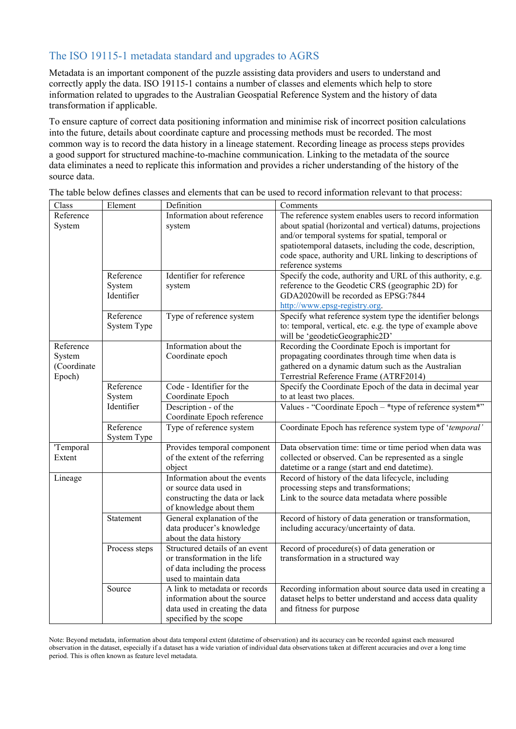# The ISO 19115-1 metadata standard and upgrades to AGRS

Metadata is an important component of the puzzle assisting data providers and users to understand and correctly apply the data. ISO 19115-1 contains a number of classes and elements which help to store information related to upgrades to the Australian Geospatial Reference System and the history of data transformation if applicable.

To ensure capture of correct data positioning information and minimise risk of incorrect position calculations into the future, details about coordinate capture and processing methods must be recorded. The most common way is to record the data history in a lineage statement. Recording lineage as process steps provides a good support for structured machine-to-machine communication. Linking to the metadata of the source data eliminates a need to replicate this information and provides a richer understanding of the history of the source data.

The table below defines classes and elements that can be used to record information relevant to that process:

| Class       | Element       | Definition                                             | Comments                                                    |
|-------------|---------------|--------------------------------------------------------|-------------------------------------------------------------|
| Reference   |               | Information about reference                            | The reference system enables users to record information    |
| System      |               | system                                                 | about spatial (horizontal and vertical) datums, projections |
|             |               |                                                        | and/or temporal systems for spatial, temporal or            |
|             |               |                                                        | spatiotemporal datasets, including the code, description,   |
|             |               |                                                        | code space, authority and URL linking to descriptions of    |
|             |               |                                                        | reference systems                                           |
|             | Reference     | Identifier for reference                               | Specify the code, authority and URL of this authority, e.g. |
|             | System        | system                                                 | reference to the Geodetic CRS (geographic 2D) for           |
|             | Identifier    |                                                        | GDA2020will be recorded as EPSG:7844                        |
|             |               |                                                        | http://www.epsg-registry.org.                               |
|             | Reference     | Type of reference system                               | Specify what reference system type the identifier belongs   |
|             | System Type   |                                                        | to: temporal, vertical, etc. e.g. the type of example above |
|             |               |                                                        | will be 'geodeticGeographic2D'                              |
| Reference   |               | Information about the                                  | Recording the Coordinate Epoch is important for             |
| System      |               | Coordinate epoch                                       | propagating coordinates through time when data is           |
| (Coordinate |               |                                                        | gathered on a dynamic datum such as the Australian          |
| Epoch)      |               |                                                        | Terrestrial Reference Frame (ATRF2014)                      |
|             | Reference     | Code - Identifier for the                              | Specify the Coordinate Epoch of the data in decimal year    |
|             | System        | Coordinate Epoch                                       | to at least two places.                                     |
|             | Identifier    | Description - of the                                   | Values - "Coordinate Epoch - *type of reference system*"    |
|             |               | Coordinate Epoch reference                             |                                                             |
|             | Reference     | Type of reference system                               | Coordinate Epoch has reference system type of 'temporal'    |
|             | System Type   |                                                        |                                                             |
| 'Temporal   |               | Provides temporal component                            | Data observation time: time or time period when data was    |
| Extent      |               | of the extent of the referring                         | collected or observed. Can be represented as a single       |
|             |               | object                                                 | datetime or a range (start and end datetime).               |
| Lineage     |               | Information about the events                           | Record of history of the data lifecycle, including          |
|             |               | or source data used in                                 | processing steps and transformations;                       |
|             |               | constructing the data or lack                          | Link to the source data metadata where possible             |
|             |               | of knowledge about them                                |                                                             |
|             | Statement     | General explanation of the                             | Record of history of data generation or transformation,     |
|             |               | data producer's knowledge                              | including accuracy/uncertainty of data.                     |
|             |               | about the data history                                 |                                                             |
|             | Process steps | Structured details of an event                         | Record of procedure(s) of data generation or                |
|             |               | or transformation in the life                          | transformation in a structured way                          |
|             |               |                                                        |                                                             |
|             |               | of data including the process<br>used to maintain data |                                                             |
|             |               | A link to metadata or records                          |                                                             |
|             | Source        |                                                        | Recording information about source data used in creating a  |
|             |               | information about the source                           | dataset helps to better understand and access data quality  |
|             |               | data used in creating the data                         | and fitness for purpose                                     |
|             |               | specified by the scope                                 |                                                             |

Note: Beyond metadata, information about data temporal extent (datetime of observation) and its accuracy can be recorded against each measured observation in the dataset, especially if a dataset has a wide variation of individual data observations taken at different accuracies and over a long time period. This is often known as feature level metadata.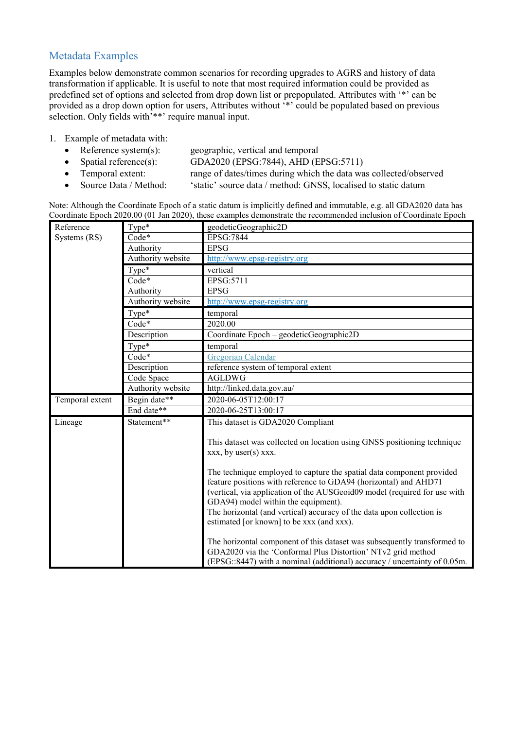# Metadata Examples

Examples below demonstrate common scenarios for recording upgrades to AGRS and history of data transformation if applicable. It is useful to note that most required information could be provided as predefined set of options and selected from drop down list or prepopulated. Attributes with '\*' can be provided as a drop down option for users, Attributes without '\*' could be populated based on previous selection. Only fields with<sup>'\*\*</sup>' require manual input.

- 1. Example of metadata with:
	- Reference system(s): geographic, vertical and temporal
	- Spatial reference(s): GDA2020 (EPSG:7844), AHD (EPSG:5711)
	- Temporal extent: range of dates/times during which the data was collected/observed<br>• Source Data / Method: 'static' source data / method: GNSS, localised to static datum
	- 'static' source data / method: GNSS, localised to static datum

Note: Although the Coordinate Epoch of a static datum is implicitly defined and immutable, e.g. all GDA2020 data has Coordinate Epoch 2020.00 (01 Jan 2020), these examples demonstrate the recommended inclusion of Coordinate Epoch

| Reference       | Type*             | geodeticGeographic2D                                                                                                                                                                                                                                                                                                                                                                |
|-----------------|-------------------|-------------------------------------------------------------------------------------------------------------------------------------------------------------------------------------------------------------------------------------------------------------------------------------------------------------------------------------------------------------------------------------|
| Systems (RS)    | $Code*$           | EPSG:7844                                                                                                                                                                                                                                                                                                                                                                           |
|                 | Authority         | <b>EPSG</b>                                                                                                                                                                                                                                                                                                                                                                         |
|                 | Authority website | http://www.epsg-registry.org                                                                                                                                                                                                                                                                                                                                                        |
|                 | Type*             | vertical                                                                                                                                                                                                                                                                                                                                                                            |
|                 | $Code*$           | EPSG:5711                                                                                                                                                                                                                                                                                                                                                                           |
|                 | Authority         | <b>EPSG</b>                                                                                                                                                                                                                                                                                                                                                                         |
|                 | Authority website | http://www.epsg-registry.org                                                                                                                                                                                                                                                                                                                                                        |
|                 | Type*             | temporal                                                                                                                                                                                                                                                                                                                                                                            |
|                 | Code*             | 2020.00                                                                                                                                                                                                                                                                                                                                                                             |
|                 | Description       | Coordinate Epoch - geodeticGeographic2D                                                                                                                                                                                                                                                                                                                                             |
|                 | Type*             | temporal                                                                                                                                                                                                                                                                                                                                                                            |
|                 | Code*             | Gregorian Calendar                                                                                                                                                                                                                                                                                                                                                                  |
|                 | Description       | reference system of temporal extent                                                                                                                                                                                                                                                                                                                                                 |
|                 | Code Space        | <b>AGLDWG</b>                                                                                                                                                                                                                                                                                                                                                                       |
|                 | Authority website | http://linked.data.gov.au/                                                                                                                                                                                                                                                                                                                                                          |
| Temporal extent | Begin date**      | 2020-06-05T12:00:17                                                                                                                                                                                                                                                                                                                                                                 |
|                 | End date**        | 2020-06-25T13:00:17                                                                                                                                                                                                                                                                                                                                                                 |
| Lineage         | Statement**       | This dataset is GDA2020 Compliant                                                                                                                                                                                                                                                                                                                                                   |
|                 |                   | This dataset was collected on location using GNSS positioning technique<br>xxx, by user(s) xxx.                                                                                                                                                                                                                                                                                     |
|                 |                   | The technique employed to capture the spatial data component provided<br>feature positions with reference to GDA94 (horizontal) and AHD71<br>(vertical, via application of the AUSGeoid09 model (required for use with<br>GDA94) model within the equipment).<br>The horizontal (and vertical) accuracy of the data upon collection is<br>estimated [or known] to be xxx (and xxx). |
|                 |                   | The horizontal component of this dataset was subsequently transformed to<br>GDA2020 via the 'Conformal Plus Distortion' NTv2 grid method<br>(EPSG::8447) with a nominal (additional) accuracy / uncertainty of 0.05m.                                                                                                                                                               |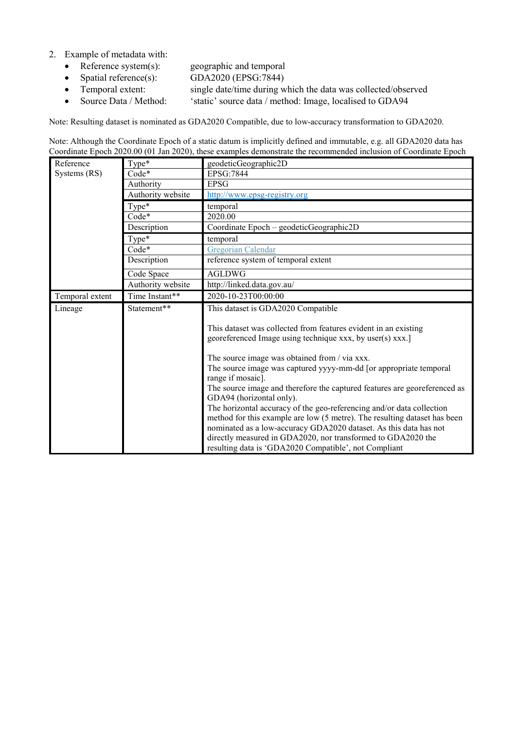- 2. Example of metadata with:
	- Reference system(s): geographic and temporal
	- Spatial reference(s): GDA2020 (EPSG:7844)
	- Temporal extent: single date/time during which the data was collected/observed<br>• Source Data / Method: 'static' source data / method: Image, localised to GDA94
	- Source Data / Method: 'static' source data / method: Image, localised to GDA94

Note: Resulting dataset is nominated as GDA2020 Compatible, due to low-accuracy transformation to GDA2020.

Note: Although the Coordinate Epoch of a static datum is implicitly defined and immutable, e.g. all GDA2020 data has Coordinate Epoch 2020.00 (01 Jan 2020), these examples demonstrate the recommended inclusion of Coordinate Epoch

| Reference       | $Type*$           | geodeticGeographic2D                                                                                                                                                                                                                                                                                                                                                                                                                                                                                                                                                                                                                                                                                                                 |
|-----------------|-------------------|--------------------------------------------------------------------------------------------------------------------------------------------------------------------------------------------------------------------------------------------------------------------------------------------------------------------------------------------------------------------------------------------------------------------------------------------------------------------------------------------------------------------------------------------------------------------------------------------------------------------------------------------------------------------------------------------------------------------------------------|
| Systems (RS)    | $Code*$           | <b>EPSG:7844</b>                                                                                                                                                                                                                                                                                                                                                                                                                                                                                                                                                                                                                                                                                                                     |
|                 | Authority         | <b>EPSG</b>                                                                                                                                                                                                                                                                                                                                                                                                                                                                                                                                                                                                                                                                                                                          |
|                 | Authority website | http://www.epsg-registry.org                                                                                                                                                                                                                                                                                                                                                                                                                                                                                                                                                                                                                                                                                                         |
|                 | Type*             | temporal                                                                                                                                                                                                                                                                                                                                                                                                                                                                                                                                                                                                                                                                                                                             |
|                 | Code*             | 2020.00                                                                                                                                                                                                                                                                                                                                                                                                                                                                                                                                                                                                                                                                                                                              |
|                 | Description       | Coordinate Epoch - geodeticGeographic2D                                                                                                                                                                                                                                                                                                                                                                                                                                                                                                                                                                                                                                                                                              |
|                 | Type*             | temporal                                                                                                                                                                                                                                                                                                                                                                                                                                                                                                                                                                                                                                                                                                                             |
|                 | $Code*$           | Gregorian Calendar                                                                                                                                                                                                                                                                                                                                                                                                                                                                                                                                                                                                                                                                                                                   |
|                 | Description       | reference system of temporal extent                                                                                                                                                                                                                                                                                                                                                                                                                                                                                                                                                                                                                                                                                                  |
|                 | Code Space        | <b>AGLDWG</b>                                                                                                                                                                                                                                                                                                                                                                                                                                                                                                                                                                                                                                                                                                                        |
|                 | Authority website | http://linked.data.gov.au/                                                                                                                                                                                                                                                                                                                                                                                                                                                                                                                                                                                                                                                                                                           |
| Temporal extent | Time Instant**    | 2020-10-23T00:00:00                                                                                                                                                                                                                                                                                                                                                                                                                                                                                                                                                                                                                                                                                                                  |
| Lineage         | Statement**       | This dataset is GDA2020 Compatible                                                                                                                                                                                                                                                                                                                                                                                                                                                                                                                                                                                                                                                                                                   |
|                 |                   | This dataset was collected from features evident in an existing<br>georeferenced Image using technique xxx, by user(s) xxx.]<br>The source image was obtained from / via xxx.<br>The source image was captured yyyy-mm-dd [or appropriate temporal<br>range if mosaic].<br>The source image and therefore the captured features are georeferenced as<br>GDA94 (horizontal only).<br>The horizontal accuracy of the geo-referencing and/or data collection<br>method for this example are low (5 metre). The resulting dataset has been<br>nominated as a low-accuracy GDA2020 dataset. As this data has not<br>directly measured in GDA2020, nor transformed to GDA2020 the<br>resulting data is 'GDA2020 Compatible', not Compliant |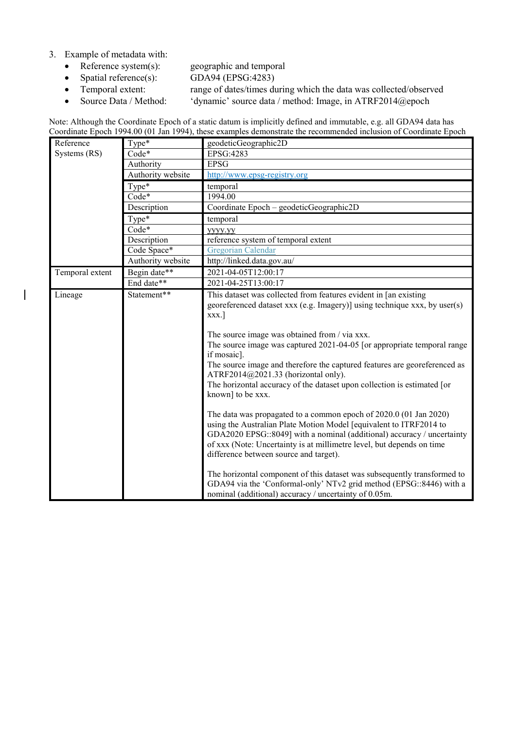3. Example of metadata with:<br>• Reference system(s):

 $\overline{\phantom{a}}$ 

- 
- 
- Reference system(s): geographic and temporal<br>• Spatial reference(s): GDA94 (EPSG:4283) • Spatial reference(s): GDA94 (EPSG:4283)<br>• Temporal extent: range of dates/times du
- 

• Temporal extent: range of dates/times during which the data was collected/observed<br>• Source Data / Method: 'dynamic' source data / method: Image, in ATRF2014@epoch

'dynamic' source data / method: Image, in ATRF2014@epoch

|  |  |  | Note: Although the Coordinate Epoch of a static datum is implicitly defined and immutable, e.g. all GDA94 data has |  |
|--|--|--|--------------------------------------------------------------------------------------------------------------------|--|
|  |  |  | Coordinate Epoch 1994.00 (01 Jan 1994), these examples demonstrate the recommended inclusion of Coordinate Epoch   |  |

| Reference       | Type*             | geodeticGeographic2D                                                                                                                                                                                                                                                                                                                                                                                                                                                                                                                                                                                                                                                                                                                                                                                                                                                                                                                                                                                                                                                      |
|-----------------|-------------------|---------------------------------------------------------------------------------------------------------------------------------------------------------------------------------------------------------------------------------------------------------------------------------------------------------------------------------------------------------------------------------------------------------------------------------------------------------------------------------------------------------------------------------------------------------------------------------------------------------------------------------------------------------------------------------------------------------------------------------------------------------------------------------------------------------------------------------------------------------------------------------------------------------------------------------------------------------------------------------------------------------------------------------------------------------------------------|
| Systems (RS)    | Code*             | EPSG:4283                                                                                                                                                                                                                                                                                                                                                                                                                                                                                                                                                                                                                                                                                                                                                                                                                                                                                                                                                                                                                                                                 |
|                 | Authority         | <b>EPSG</b>                                                                                                                                                                                                                                                                                                                                                                                                                                                                                                                                                                                                                                                                                                                                                                                                                                                                                                                                                                                                                                                               |
|                 | Authority website | http://www.epsg-registry.org                                                                                                                                                                                                                                                                                                                                                                                                                                                                                                                                                                                                                                                                                                                                                                                                                                                                                                                                                                                                                                              |
|                 | Type*             | temporal                                                                                                                                                                                                                                                                                                                                                                                                                                                                                                                                                                                                                                                                                                                                                                                                                                                                                                                                                                                                                                                                  |
|                 | Code*             | 1994.00                                                                                                                                                                                                                                                                                                                                                                                                                                                                                                                                                                                                                                                                                                                                                                                                                                                                                                                                                                                                                                                                   |
|                 | Description       | Coordinate Epoch - geodeticGeographic2D                                                                                                                                                                                                                                                                                                                                                                                                                                                                                                                                                                                                                                                                                                                                                                                                                                                                                                                                                                                                                                   |
|                 | Type*             | temporal                                                                                                                                                                                                                                                                                                                                                                                                                                                                                                                                                                                                                                                                                                                                                                                                                                                                                                                                                                                                                                                                  |
|                 | Code*             | <b>VYVV.VV</b>                                                                                                                                                                                                                                                                                                                                                                                                                                                                                                                                                                                                                                                                                                                                                                                                                                                                                                                                                                                                                                                            |
|                 | Description       | reference system of temporal extent                                                                                                                                                                                                                                                                                                                                                                                                                                                                                                                                                                                                                                                                                                                                                                                                                                                                                                                                                                                                                                       |
|                 | Code Space*       | Gregorian Calendar                                                                                                                                                                                                                                                                                                                                                                                                                                                                                                                                                                                                                                                                                                                                                                                                                                                                                                                                                                                                                                                        |
|                 | Authority website | http://linked.data.gov.au/                                                                                                                                                                                                                                                                                                                                                                                                                                                                                                                                                                                                                                                                                                                                                                                                                                                                                                                                                                                                                                                |
| Temporal extent | Begin date**      | 2021-04-05T12:00:17                                                                                                                                                                                                                                                                                                                                                                                                                                                                                                                                                                                                                                                                                                                                                                                                                                                                                                                                                                                                                                                       |
|                 | End date**        | 2021-04-25T13:00:17                                                                                                                                                                                                                                                                                                                                                                                                                                                                                                                                                                                                                                                                                                                                                                                                                                                                                                                                                                                                                                                       |
| Lineage         | Statement**       | This dataset was collected from features evident in [an existing<br>georeferenced dataset xxx (e.g. Imagery)] using technique xxx, by user(s)<br>xxx.]<br>The source image was obtained from / via xxx.<br>The source image was captured 2021-04-05 [or appropriate temporal range<br>if mosaic].<br>The source image and therefore the captured features are georeferenced as<br>ATRF2014@2021.33 (horizontal only).<br>The horizontal accuracy of the dataset upon collection is estimated [or<br>known] to be xxx.<br>The data was propagated to a common epoch of 2020.0 (01 Jan 2020)<br>using the Australian Plate Motion Model [equivalent to ITRF2014 to<br>GDA2020 EPSG::8049] with a nominal (additional) accuracy / uncertainty<br>of xxx (Note: Uncertainty is at millimetre level, but depends on time<br>difference between source and target).<br>The horizontal component of this dataset was subsequently transformed to<br>GDA94 via the 'Conformal-only' NTv2 grid method (EPSG::8446) with a<br>nominal (additional) accuracy / uncertainty of 0.05m. |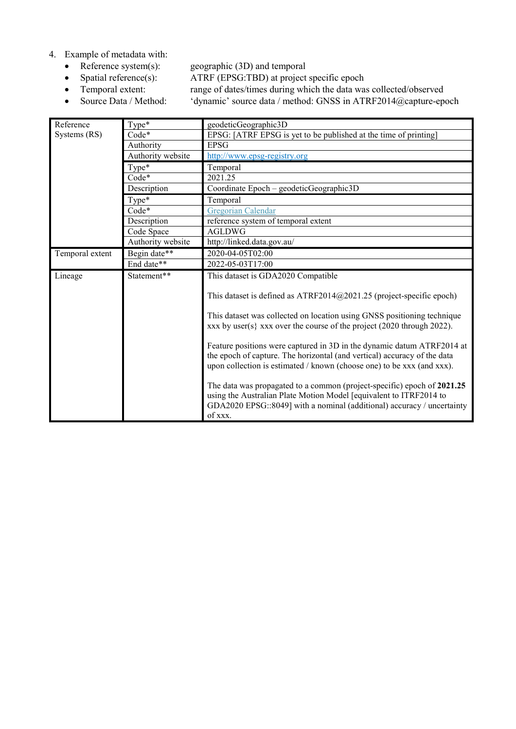- 4. Example of metadata with:<br>• Reference system(s):
	-
	- Reference system(s): geographic (3D) and temporal<br>• Spatial reference(s): ATRF (EPSG:TBD) at project
	-
	-

• Spatial reference(s): ATRF (EPSG:TBD) at project specific epoch<br>• Temporal extent: range of dates/times during which the data was

• Temporal extent: range of dates/times during which the data was collected/observed<br>• Source Data / Method: 'dynamic' source data / method: GNSS in ATRF2014@capture-epo 'dynamic' source data / method: GNSS in ATRF2014@capture-epoch

| $Type*$<br>Reference |                   | geodeticGeographic3D                                                                                                                                                                                                               |  |
|----------------------|-------------------|------------------------------------------------------------------------------------------------------------------------------------------------------------------------------------------------------------------------------------|--|
| Systems (RS)         | Code*             | EPSG: [ATRF EPSG is yet to be published at the time of printing]                                                                                                                                                                   |  |
|                      | Authority         | <b>EPSG</b>                                                                                                                                                                                                                        |  |
|                      | Authority website | http://www.epsg-registry.org                                                                                                                                                                                                       |  |
|                      | $Type*$           | Temporal                                                                                                                                                                                                                           |  |
|                      | $Code*$           | 2021.25                                                                                                                                                                                                                            |  |
|                      | Description       | Coordinate Epoch - geodeticGeographic3D                                                                                                                                                                                            |  |
|                      | Type*             | Temporal                                                                                                                                                                                                                           |  |
|                      | Code*             | Gregorian Calendar                                                                                                                                                                                                                 |  |
|                      | Description       | reference system of temporal extent                                                                                                                                                                                                |  |
|                      | Code Space        | <b>AGLDWG</b>                                                                                                                                                                                                                      |  |
|                      | Authority website | http://linked.data.gov.au/                                                                                                                                                                                                         |  |
| Temporal extent      | Begin date**      | 2020-04-05T02:00                                                                                                                                                                                                                   |  |
|                      | End date**        | 2022-05-03T17:00                                                                                                                                                                                                                   |  |
| Lineage              | Statement**       | This dataset is GDA2020 Compatible                                                                                                                                                                                                 |  |
|                      |                   | This dataset is defined as $ATRF2014@2021.25$ (project-specific epoch)                                                                                                                                                             |  |
|                      |                   | This dataset was collected on location using GNSS positioning technique<br>xxx by user(s} xxx over the course of the project $(2020$ through 2022).                                                                                |  |
|                      |                   | Feature positions were captured in 3D in the dynamic datum ATRF2014 at<br>the epoch of capture. The horizontal (and vertical) accuracy of the data<br>upon collection is estimated / known (choose one) to be xxx (and xxx).       |  |
|                      |                   | The data was propagated to a common (project-specific) epoch of 2021.25<br>using the Australian Plate Motion Model [equivalent to ITRF2014 to<br>GDA2020 EPSG::8049] with a nominal (additional) accuracy / uncertainty<br>of xxx. |  |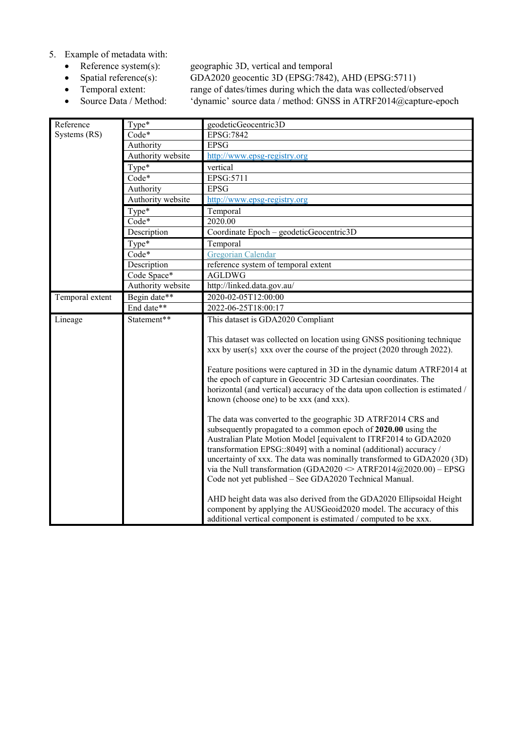- 5. Example of metadata with:<br>• Reference system(s):
	-
	-
	-
	-

• Reference system(s): geographic 3D, vertical and temporal<br>• Spatial reference(s): GDA2020 geocentic 3D (EPSG:7842) • Spatial reference(s): GDA2020 geocentic 3D (EPSG:7842), AHD (EPSG:5711)<br>• Temporal extent: range of dates/times during which the data was collected/ob • Temporal extent: range of dates/times during which the data was collected/observed<br>• Source Data / Method: 'dynamic' source data / method: GNSS in ATRF2014@capture-epo • Source Data / Method: 'dynamic' source data / method: GNSS in ATRF2014@capture-epoch

| Reference       | Type*             | geodeticGeocentric3D                                                          |
|-----------------|-------------------|-------------------------------------------------------------------------------|
| Systems (RS)    | Code*             | EPSG:7842                                                                     |
|                 | Authority         | <b>EPSG</b>                                                                   |
|                 | Authority website | http://www.epsg-registry.org                                                  |
|                 | Type*             | vertical                                                                      |
|                 | Code*             | EPSG:5711                                                                     |
|                 | Authority         | <b>EPSG</b>                                                                   |
|                 | Authority website | http://www.epsg-registry.org                                                  |
|                 | Type*             | Temporal                                                                      |
|                 | Code*             | 2020.00                                                                       |
|                 | Description       | Coordinate Epoch - geodeticGeocentric3D                                       |
|                 | Type*             | Temporal                                                                      |
|                 | Code*             | Gregorian Calendar                                                            |
|                 | Description       | reference system of temporal extent                                           |
|                 | Code Space*       | <b>AGLDWG</b>                                                                 |
|                 | Authority website | http://linked.data.gov.au/                                                    |
| Temporal extent | Begin date**      | 2020-02-05T12:00:00                                                           |
|                 | End date**        | 2022-06-25T18:00:17                                                           |
| Lineage         | Statement**       | This dataset is GDA2020 Compliant                                             |
|                 |                   |                                                                               |
|                 |                   | This dataset was collected on location using GNSS positioning technique       |
|                 |                   | xxx by user(s} xxx over the course of the project (2020 through 2022).        |
|                 |                   | Feature positions were captured in 3D in the dynamic datum ATRF2014 at        |
|                 |                   | the epoch of capture in Geocentric 3D Cartesian coordinates. The              |
|                 |                   | horizontal (and vertical) accuracy of the data upon collection is estimated / |
|                 |                   | known (choose one) to be xxx (and xxx).                                       |
|                 |                   |                                                                               |
|                 |                   | The data was converted to the geographic 3D ATRF2014 CRS and                  |
|                 |                   | subsequently propagated to a common epoch of 2020.00 using the                |
|                 |                   | Australian Plate Motion Model [equivalent to ITRF2014 to GDA2020              |
|                 |                   | transformation EPSG::8049] with a nominal (additional) accuracy /             |
|                 |                   | uncertainty of xxx. The data was nominally transformed to GDA2020 (3D)        |
|                 |                   | via the Null transformation (GDA2020 $\in$ ATRF2014@2020.00) – EPSG           |
|                 |                   | Code not yet published - See GDA2020 Technical Manual.                        |
|                 |                   | AHD height data was also derived from the GDA2020 Ellipsoidal Height          |
|                 |                   | component by applying the AUSGeoid2020 model. The accuracy of this            |
|                 |                   | additional vertical component is estimated / computed to be xxx.              |
|                 |                   |                                                                               |